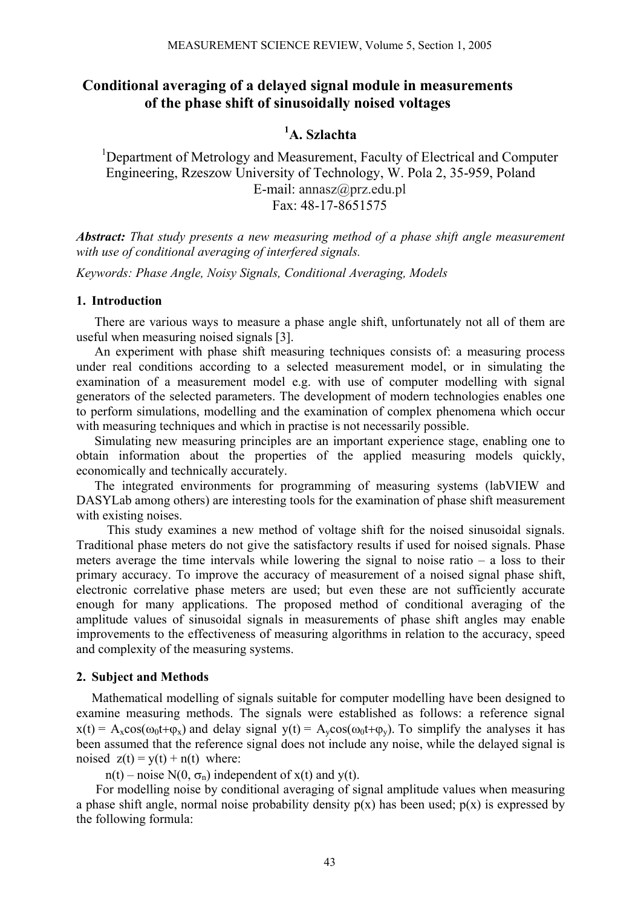## **Conditional averaging of a delayed signal module in measurements of the phase shift of sinusoidally noised voltages**

# **1 A. Szlachta**

<sup>1</sup>Department of Metrology and Measurement, Faculty of Electrical and Computer Engineering, Rzeszow University of Technology, W. Pola 2, 35-959, Poland E-mail: annasz@prz.edu.pl Fax: 48-17-8651575

*Abstract: That study presents a new measuring method of a phase shift angle measurement with use of conditional averaging of interfered signals.* 

*Keywords: Phase Angle, Noisy Signals, Conditional Averaging, Models* 

## **1. Introduction**

There are various ways to measure a phase angle shift, unfortunately not all of them are useful when measuring noised signals [3].

An experiment with phase shift measuring techniques consists of: a measuring process under real conditions according to a selected measurement model, or in simulating the examination of a measurement model e.g. with use of computer modelling with signal generators of the selected parameters. The development of modern technologies enables one to perform simulations, modelling and the examination of complex phenomena which occur with measuring techniques and which in practise is not necessarily possible.

Simulating new measuring principles are an important experience stage, enabling one to obtain information about the properties of the applied measuring models quickly, economically and technically accurately.

The integrated environments for programming of measuring systems (labVIEW and DASYLab among others) are interesting tools for the examination of phase shift measurement with existing noises.

This study examines a new method of voltage shift for the noised sinusoidal signals. Traditional phase meters do not give the satisfactory results if used for noised signals. Phase meters average the time intervals while lowering the signal to noise ratio  $-$  a loss to their primary accuracy. To improve the accuracy of measurement of a noised signal phase shift, electronic correlative phase meters are used; but even these are not sufficiently accurate enough for many applications. The proposed method of conditional averaging of the amplitude values of sinusoidal signals in measurements of phase shift angles may enable improvements to the effectiveness of measuring algorithms in relation to the accuracy, speed and complexity of the measuring systems.

### **2. Subject and Methods**

Mathematical modelling of signals suitable for computer modelling have been designed to examine measuring methods. The signals were established as follows: a reference signal  $x(t) = A_x \cos(\omega_0 t + \varphi_x)$  and delay signal  $y(t) = A_y \cos(\omega_0 t + \varphi_y)$ . To simplify the analyses it has been assumed that the reference signal does not include any noise, while the delayed signal is noised  $z(t) = y(t) + n(t)$  where:

n(t) – noise N(0,  $\sigma_n$ ) independent of x(t) and y(t).

For modelling noise by conditional averaging of signal amplitude values when measuring a phase shift angle, normal noise probability density  $p(x)$  has been used;  $p(x)$  is expressed by the following formula: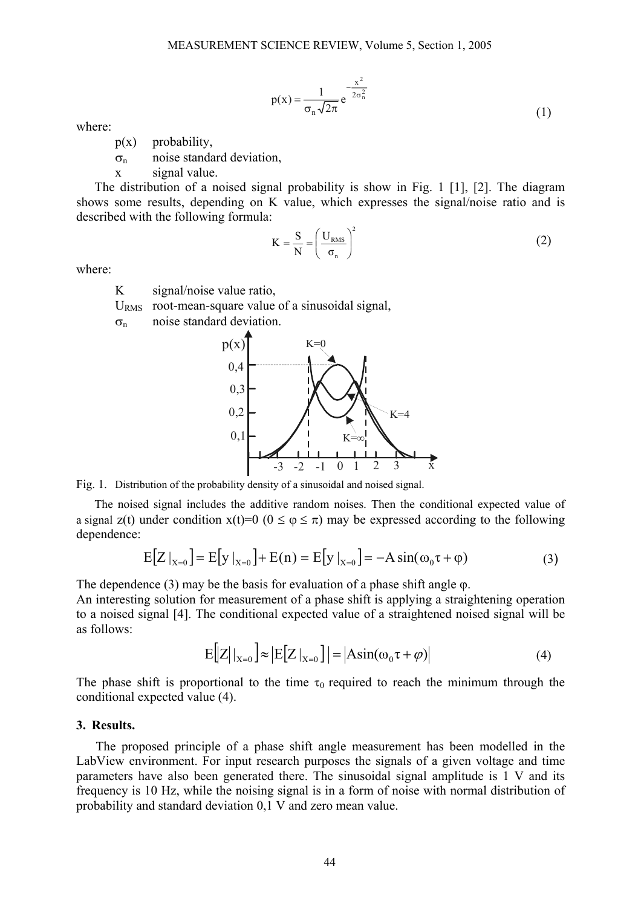$$
p(x) = \frac{1}{\sigma_n \sqrt{2\pi}} e^{-\frac{x^2}{2\sigma_n^2}}
$$
 (1)

where:

- $p(x)$  probability,
- $\sigma_{\rm n}$  noise standard deviation,
- x signal value.

The distribution of a noised signal probability is show in Fig. 1 [1], [2]. The diagram shows some results, depending on K value, which expresses the signal/noise ratio and is described with the following formula: 2

$$
K = \frac{S}{N} = \left(\frac{U_{RMS}}{\sigma_n}\right)^2
$$
 (2)

where:

K signal/noise value ratio,

 $U<sub>RMS</sub>$  root-mean-square value of a sinusoidal signal,

 $\sigma_n$  noise standard deviation.



Fig. 1. Distribution of the probability density of a sinusoidal and noised signal.

The noised signal includes the additive random noises. Then the conditional expected value of a signal z(t) under condition  $x(t)=0$  ( $0 \le \varphi \le \pi$ ) may be expressed according to the following dependence:

$$
E[Z|_{X=0}] = E[y|_{X=0}] + E(n) = E[y|_{X=0}] = -A \sin(\omega_0 \tau + \varphi)
$$
 (3)

The dependence  $(3)$  may be the basis for evaluation of a phase shift angle  $\varphi$ .

An interesting solution for measurement of a phase shift is applying a straightening operation to a noised signal [4]. The conditional expected value of a straightened noised signal will be as follows:

$$
E\big[Z\big|_{X=0}\big] \approx \big|E\big[Z\big|_{X=0}\big]\big| = \big|\text{Asin}(\omega_0 \tau + \varphi)\big| \tag{4}
$$

The phase shift is proportional to the time  $\tau_0$  required to reach the minimum through the conditional expected value (4).

#### **3. Results.**

The proposed principle of a phase shift angle measurement has been modelled in the LabView environment. For input research purposes the signals of a given voltage and time parameters have also been generated there. The sinusoidal signal amplitude is 1 V and its frequency is 10 Hz, while the noising signal is in a form of noise with normal distribution of probability and standard deviation 0,1 V and zero mean value.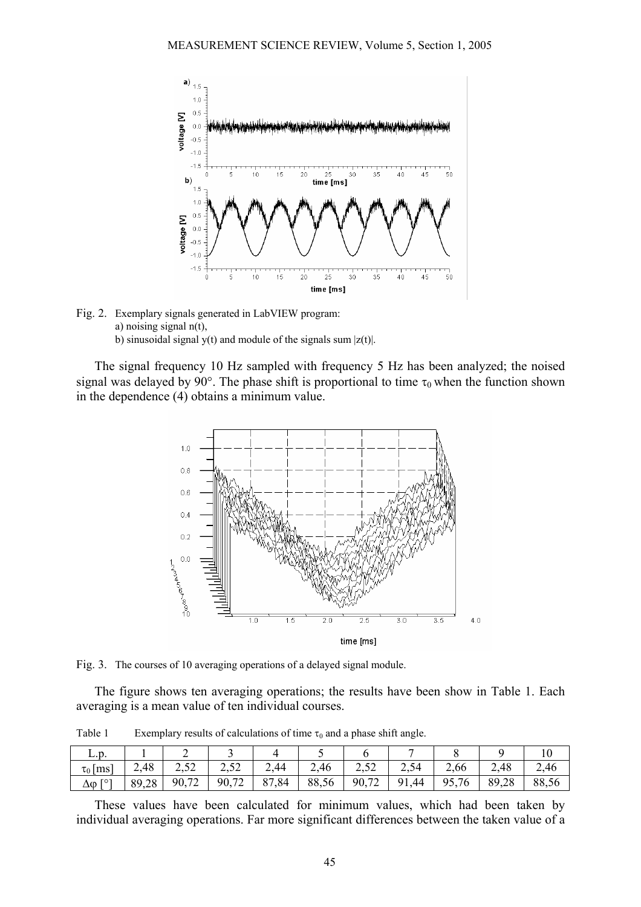

Fig. 2. Exemplary signals generated in LabVIEW program: a) noising signal n(t), b) sinusoidal signal y(t) and module of the signals sum  $|z(t)|$ .

The signal frequency 10 Hz sampled with frequency 5 Hz has been analyzed; the noised signal was delayed by 90°. The phase shift is proportional to time  $\tau_0$  when the function shown in the dependence (4) obtains a minimum value.



Fig. 3. The courses of 10 averaging operations of a delayed signal module.

The figure shows ten averaging operations; the results have been show in Table 1. Each averaging is a mean value of ten individual courses.

L.p. | 1 | 2 | 3 | 4 | 5 | 6 | 7 | 8 | 9 | 10  $\tau_0$ [ms] 2,48 2,52 2,52 2,44 2,46 2,52 2,54 2,66 2,48 2,46

Table 1 Exemplary results of calculations of time  $\tau_0$  and a phase shift angle.

These values have been calculated for minimum values, which had been taken by individual averaging operations. Far more significant differences between the taken value of a

∆ϕ [°] 89,28 90,72 90,72 87,84 88,56 90,72 91,44 95,76 89,28 88,56